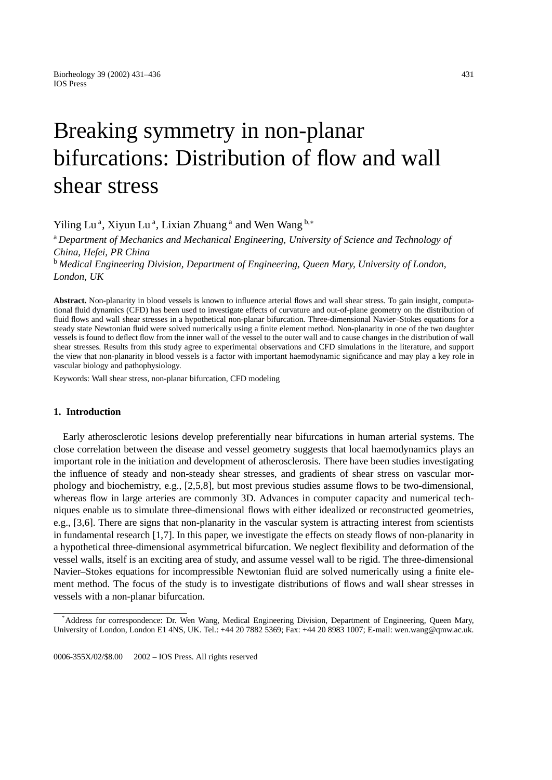# Breaking symmetry in non-planar bifurcations: Distribution of flow and wall shear stress

Yiling Lu<sup>a</sup>, Xiyun Lu<sup>a</sup>, Lixian Zhuang<sup>a</sup> and Wen Wang<sup>b,\*</sup>

<sup>a</sup> *Department of Mechanics and Mechanical Engineering, University of Science and Technology of China, Hefei, PR China*

<sup>b</sup> *Medical Engineering Division, Department of Engineering, Queen Mary, University of London, London, UK*

**Abstract.** Non-planarity in blood vessels is known to influence arterial flows and wall shear stress. To gain insight, computational fluid dynamics (CFD) has been used to investigate effects of curvature and out-of-plane geometry on the distribution of fluid flows and wall shear stresses in a hypothetical non-planar bifurcation. Three-dimensional Navier–Stokes equations for a steady state Newtonian fluid were solved numerically using a finite element method. Non-planarity in one of the two daughter vessels is found to deflect flow from the inner wall of the vessel to the outer wall and to cause changes in the distribution of wall shear stresses. Results from this study agree to experimental observations and CFD simulations in the literature, and support the view that non-planarity in blood vessels is a factor with important haemodynamic significance and may play a key role in vascular biology and pathophysiology.

Keywords: Wall shear stress, non-planar bifurcation, CFD modeling

## **1. Introduction**

Early atherosclerotic lesions develop preferentially near bifurcations in human arterial systems. The close correlation between the disease and vessel geometry suggests that local haemodynamics plays an important role in the initiation and development of atherosclerosis. There have been studies investigating the influence of steady and non-steady shear stresses, and gradients of shear stress on vascular morphology and biochemistry, e.g., [2,5,8], but most previous studies assume flows to be two-dimensional, whereas flow in large arteries are commonly 3D. Advances in computer capacity and numerical techniques enable us to simulate three-dimensional flows with either idealized or reconstructed geometries, e.g., [3,6]. There are signs that non-planarity in the vascular system is attracting interest from scientists in fundamental research [1,7]. In this paper, we investigate the effects on steady flows of non-planarity in a hypothetical three-dimensional asymmetrical bifurcation. We neglect flexibility and deformation of the vessel walls, itself is an exciting area of study, and assume vessel wall to be rigid. The three-dimensional Navier–Stokes equations for incompressible Newtonian fluid are solved numerically using a finite element method. The focus of the study is to investigate distributions of flows and wall shear stresses in vessels with a non-planar bifurcation.

<sup>\*</sup> Address for correspondence: Dr. Wen Wang, Medical Engineering Division, Department of Engineering, Queen Mary, University of London, London E1 4NS, UK. Tel.: +44 20 7882 5369; Fax: +44 20 8983 1007; E-mail: wen.wang@qmw.ac.uk.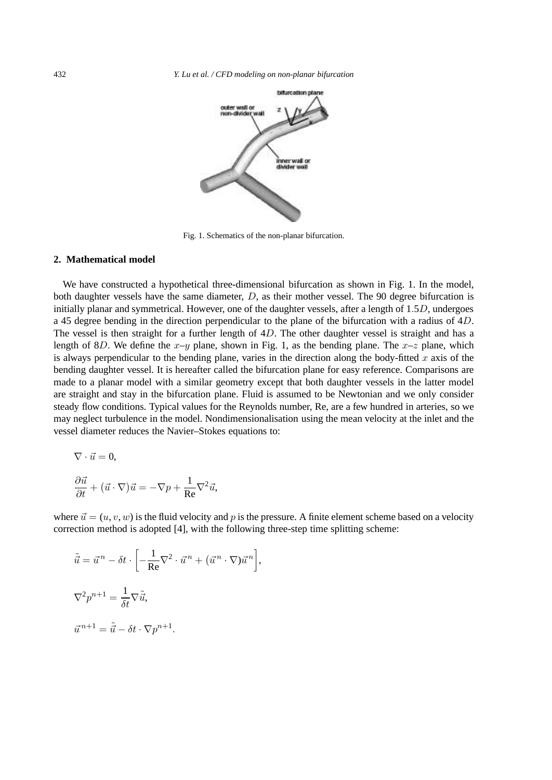

Fig. 1. Schematics of the non-planar bifurcation.

# **2. Mathematical model**

We have constructed a hypothetical three-dimensional bifurcation as shown in Fig. 1. In the model, both daughter vessels have the same diameter, D, as their mother vessel. The 90 degree bifurcation is initially planar and symmetrical. However, one of the daughter vessels, after a length of  $1.5D$ , undergoes a 45 degree bending in the direction perpendicular to the plane of the bifurcation with a radius of 4D. The vessel is then straight for a further length of  $4D$ . The other daughter vessel is straight and has a length of 8D. We define the  $x-y$  plane, shown in Fig. 1, as the bending plane. The  $x-z$  plane, which is always perpendicular to the bending plane, varies in the direction along the body-fitted  $x$  axis of the bending daughter vessel. It is hereafter called the bifurcation plane for easy reference. Comparisons are made to a planar model with a similar geometry except that both daughter vessels in the latter model are straight and stay in the bifurcation plane. Fluid is assumed to be Newtonian and we only consider steady flow conditions. Typical values for the Reynolds number, Re, are a few hundred in arteries, so we may neglect turbulence in the model. Nondimensionalisation using the mean velocity at the inlet and the vessel diameter reduces the Navier–Stokes equations to:

$$
\nabla \cdot \vec{u} = 0,
$$

$$
\frac{\partial \vec{u}}{\partial t} + (\vec{u} \cdot \nabla)\vec{u} = -\nabla p + \frac{1}{\text{Re}} \nabla^2 \vec{u},
$$

where  $\vec{u} = (u, v, w)$  is the fluid velocity and p is the pressure. A finite element scheme based on a velocity correction method is adopted [4], with the following three-step time splitting scheme:

$$
\tilde{\vec{u}} = \vec{u}^n - \delta t \cdot \left[ -\frac{1}{\text{Re}} \nabla^2 \cdot \vec{u}^n + (\vec{u}^n \cdot \nabla) \vec{u}^n \right],
$$
  

$$
\nabla^2 p^{n+1} = \frac{1}{\delta t} \nabla \tilde{\vec{u}},
$$
  

$$
\vec{u}^{n+1} = \tilde{\vec{u}} - \delta t \cdot \nabla p^{n+1}.
$$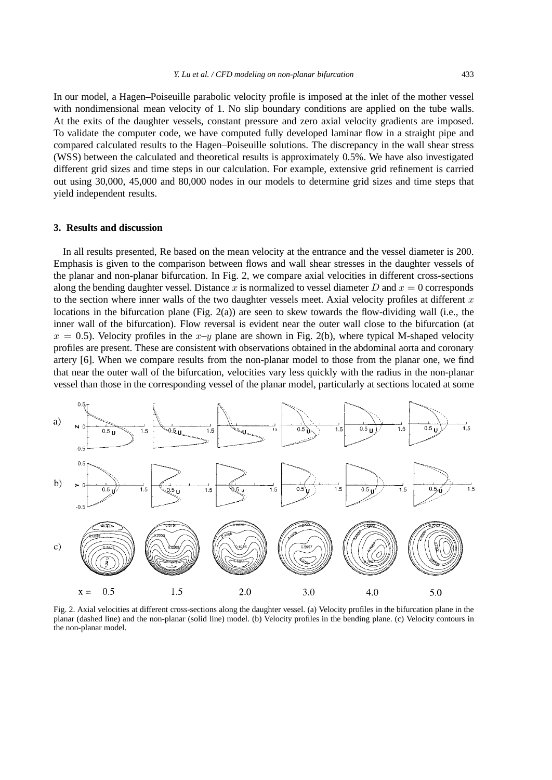In our model, a Hagen–Poiseuille parabolic velocity profile is imposed at the inlet of the mother vessel with nondimensional mean velocity of 1. No slip boundary conditions are applied on the tube walls. At the exits of the daughter vessels, constant pressure and zero axial velocity gradients are imposed. To validate the computer code, we have computed fully developed laminar flow in a straight pipe and compared calculated results to the Hagen–Poiseuille solutions. The discrepancy in the wall shear stress (WSS) between the calculated and theoretical results is approximately 0.5%. We have also investigated different grid sizes and time steps in our calculation. For example, extensive grid refinement is carried out using 30,000, 45,000 and 80,000 nodes in our models to determine grid sizes and time steps that yield independent results.

#### **3. Results and discussion**

In all results presented, Re based on the mean velocity at the entrance and the vessel diameter is 200. Emphasis is given to the comparison between flows and wall shear stresses in the daughter vessels of the planar and non-planar bifurcation. In Fig. 2, we compare axial velocities in different cross-sections along the bending daughter vessel. Distance x is normalized to vessel diameter D and  $x = 0$  corresponds to the section where inner walls of the two daughter vessels meet. Axial velocity profiles at different  $x$ locations in the bifurcation plane (Fig. 2(a)) are seen to skew towards the flow-dividing wall (i.e., the inner wall of the bifurcation). Flow reversal is evident near the outer wall close to the bifurcation (at  $x = 0.5$ ). Velocity profiles in the  $x-y$  plane are shown in Fig. 2(b), where typical M-shaped velocity profiles are present. These are consistent with observations obtained in the abdominal aorta and coronary artery [6]. When we compare results from the non-planar model to those from the planar one, we find that near the outer wall of the bifurcation, velocities vary less quickly with the radius in the non-planar vessel than those in the corresponding vessel of the planar model, particularly at sections located at some



Fig. 2. Axial velocities at different cross-sections along the daughter vessel. (a) Velocity profiles in the bifurcation plane in the planar (dashed line) and the non-planar (solid line) model. (b) Velocity profiles in the bending plane. (c) Velocity contours in the non-planar model.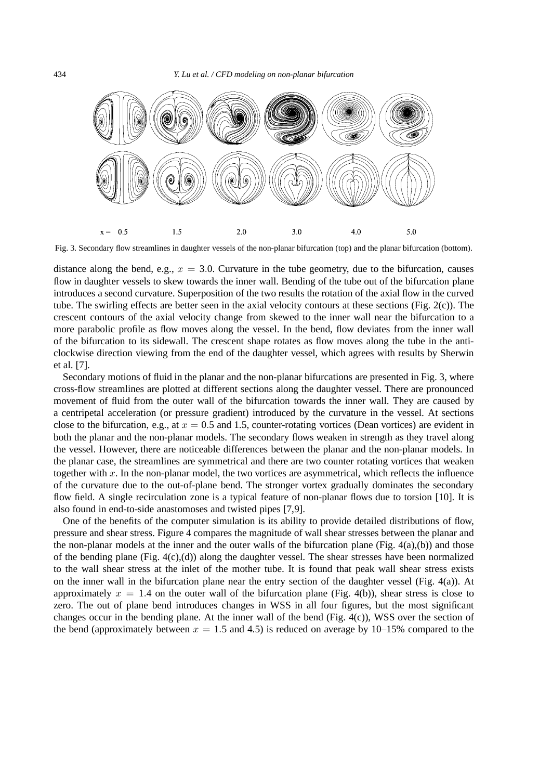

Fig. 3. Secondary flow streamlines in daughter vessels of the non-planar bifurcation (top) and the planar bifurcation (bottom).

distance along the bend, e.g.,  $x = 3.0$ . Curvature in the tube geometry, due to the bifurcation, causes flow in daughter vessels to skew towards the inner wall. Bending of the tube out of the bifurcation plane introduces a second curvature. Superposition of the two results the rotation of the axial flow in the curved tube. The swirling effects are better seen in the axial velocity contours at these sections (Fig. 2(c)). The crescent contours of the axial velocity change from skewed to the inner wall near the bifurcation to a more parabolic profile as flow moves along the vessel. In the bend, flow deviates from the inner wall of the bifurcation to its sidewall. The crescent shape rotates as flow moves along the tube in the anticlockwise direction viewing from the end of the daughter vessel, which agrees with results by Sherwin et al. [7].

Secondary motions of fluid in the planar and the non-planar bifurcations are presented in Fig. 3, where cross-flow streamlines are plotted at different sections along the daughter vessel. There are pronounced movement of fluid from the outer wall of the bifurcation towards the inner wall. They are caused by a centripetal acceleration (or pressure gradient) introduced by the curvature in the vessel. At sections close to the bifurcation, e.g., at  $x = 0.5$  and 1.5, counter-rotating vortices (Dean vortices) are evident in both the planar and the non-planar models. The secondary flows weaken in strength as they travel along the vessel. However, there are noticeable differences between the planar and the non-planar models. In the planar case, the streamlines are symmetrical and there are two counter rotating vortices that weaken together with  $x$ . In the non-planar model, the two vortices are asymmetrical, which reflects the influence of the curvature due to the out-of-plane bend. The stronger vortex gradually dominates the secondary flow field. A single recirculation zone is a typical feature of non-planar flows due to torsion [10]. It is also found in end-to-side anastomoses and twisted pipes [7,9].

One of the benefits of the computer simulation is its ability to provide detailed distributions of flow, pressure and shear stress. Figure 4 compares the magnitude of wall shear stresses between the planar and the non-planar models at the inner and the outer walls of the bifurcation plane (Fig.  $4(a)$ ,(b)) and those of the bending plane (Fig. 4(c),(d)) along the daughter vessel. The shear stresses have been normalized to the wall shear stress at the inlet of the mother tube. It is found that peak wall shear stress exists on the inner wall in the bifurcation plane near the entry section of the daughter vessel (Fig. 4(a)). At approximately  $x = 1.4$  on the outer wall of the bifurcation plane (Fig. 4(b)), shear stress is close to zero. The out of plane bend introduces changes in WSS in all four figures, but the most significant changes occur in the bending plane. At the inner wall of the bend (Fig.  $4(c)$ ), WSS over the section of the bend (approximately between  $x = 1.5$  and 4.5) is reduced on average by 10–15% compared to the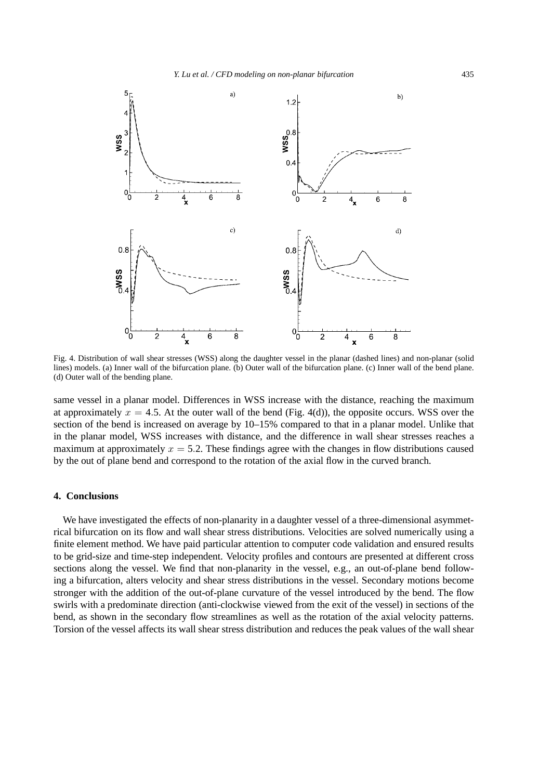

Fig. 4. Distribution of wall shear stresses (WSS) along the daughter vessel in the planar (dashed lines) and non-planar (solid lines) models. (a) Inner wall of the bifurcation plane. (b) Outer wall of the bifurcation plane. (c) Inner wall of the bend plane. (d) Outer wall of the bending plane.

same vessel in a planar model. Differences in WSS increase with the distance, reaching the maximum at approximately  $x = 4.5$ . At the outer wall of the bend (Fig. 4(d)), the opposite occurs. WSS over the section of the bend is increased on average by 10–15% compared to that in a planar model. Unlike that in the planar model, WSS increases with distance, and the difference in wall shear stresses reaches a maximum at approximately  $x = 5.2$ . These findings agree with the changes in flow distributions caused by the out of plane bend and correspond to the rotation of the axial flow in the curved branch.

## **4. Conclusions**

We have investigated the effects of non-planarity in a daughter vessel of a three-dimensional asymmetrical bifurcation on its flow and wall shear stress distributions. Velocities are solved numerically using a finite element method. We have paid particular attention to computer code validation and ensured results to be grid-size and time-step independent. Velocity profiles and contours are presented at different cross sections along the vessel. We find that non-planarity in the vessel, e.g., an out-of-plane bend following a bifurcation, alters velocity and shear stress distributions in the vessel. Secondary motions become stronger with the addition of the out-of-plane curvature of the vessel introduced by the bend. The flow swirls with a predominate direction (anti-clockwise viewed from the exit of the vessel) in sections of the bend, as shown in the secondary flow streamlines as well as the rotation of the axial velocity patterns. Torsion of the vessel affects its wall shear stress distribution and reduces the peak values of the wall shear